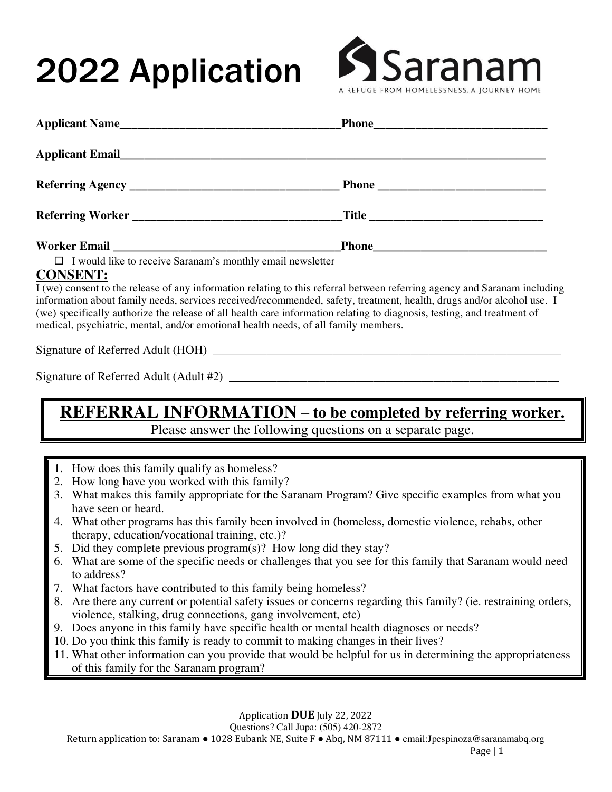# 2022 Application



| $\Box$ I would like to receive Saranam's monthly email newsletter<br><b>CONSENT:</b><br>I (we) consent to the release of any information relating to this referral between referring agency and Saranam including<br>information about family needs, services received/recommended, safety, treatment, health, drugs and/or alcohol use. I<br>(we) specifically authorize the release of all health care information relating to diagnosis, testing, and treatment of<br>medical, psychiatric, mental, and/or emotional health needs, of all family members.<br>REFERRAL INFORMATION - to be completed by referring worker.<br>Please answer the following questions on a separate page.<br>1. How does this family qualify as homeless?<br>2. How long have you worked with this family?<br>3. What makes this family appropriate for the Saranam Program? Give specific examples from what you<br>have seen or heard.<br>4. What other programs has this family been involved in (homeless, domestic violence, rehabs, other | Applicant Name                                 | <b>Phone</b> Phone |
|--------------------------------------------------------------------------------------------------------------------------------------------------------------------------------------------------------------------------------------------------------------------------------------------------------------------------------------------------------------------------------------------------------------------------------------------------------------------------------------------------------------------------------------------------------------------------------------------------------------------------------------------------------------------------------------------------------------------------------------------------------------------------------------------------------------------------------------------------------------------------------------------------------------------------------------------------------------------------------------------------------------------------------|------------------------------------------------|--------------------|
|                                                                                                                                                                                                                                                                                                                                                                                                                                                                                                                                                                                                                                                                                                                                                                                                                                                                                                                                                                                                                                |                                                |                    |
|                                                                                                                                                                                                                                                                                                                                                                                                                                                                                                                                                                                                                                                                                                                                                                                                                                                                                                                                                                                                                                |                                                |                    |
|                                                                                                                                                                                                                                                                                                                                                                                                                                                                                                                                                                                                                                                                                                                                                                                                                                                                                                                                                                                                                                |                                                |                    |
|                                                                                                                                                                                                                                                                                                                                                                                                                                                                                                                                                                                                                                                                                                                                                                                                                                                                                                                                                                                                                                |                                                |                    |
|                                                                                                                                                                                                                                                                                                                                                                                                                                                                                                                                                                                                                                                                                                                                                                                                                                                                                                                                                                                                                                |                                                |                    |
|                                                                                                                                                                                                                                                                                                                                                                                                                                                                                                                                                                                                                                                                                                                                                                                                                                                                                                                                                                                                                                |                                                |                    |
|                                                                                                                                                                                                                                                                                                                                                                                                                                                                                                                                                                                                                                                                                                                                                                                                                                                                                                                                                                                                                                |                                                |                    |
|                                                                                                                                                                                                                                                                                                                                                                                                                                                                                                                                                                                                                                                                                                                                                                                                                                                                                                                                                                                                                                |                                                |                    |
| 5. Did they complete previous program(s)? How long did they stay?<br>6. What are some of the specific needs or challenges that you see for this family that Saranam would need                                                                                                                                                                                                                                                                                                                                                                                                                                                                                                                                                                                                                                                                                                                                                                                                                                                 | therapy, education/vocational training, etc.)? |                    |

- 7. What factors have contributed to this family being homeless?
- 8. Are there any current or potential safety issues or concerns regarding this family? (ie. restraining orders, violence, stalking, drug connections, gang involvement, etc)
- 9. Does anyone in this family have specific health or mental health diagnoses or needs?
- 10. Do you think this family is ready to commit to making changes in their lives?
- 11. What other information can you provide that would be helpful for us in determining the appropriateness of this family for the Saranam program?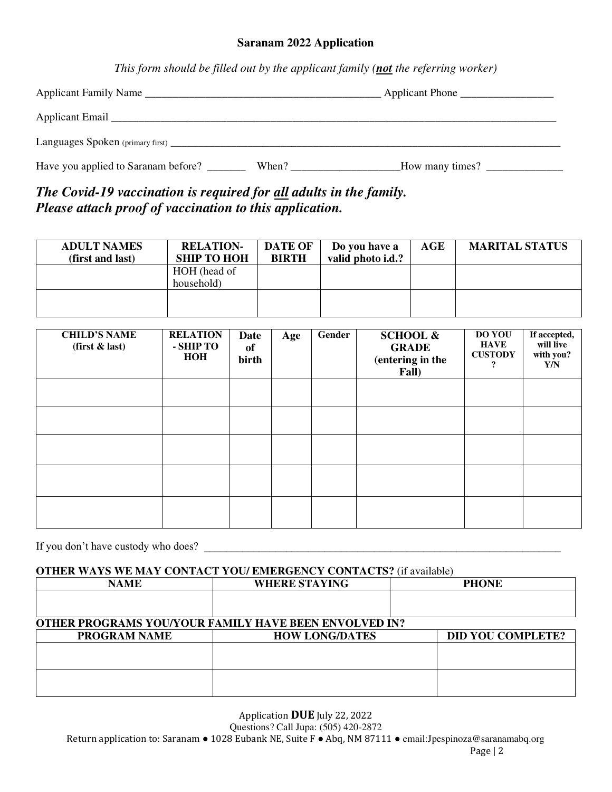### **Saranam 2022 Application**

*This form should be filled out by the applicant family (not the referring worker)* 

| Applicant Family Name               | Applicant Phone |                 |  |
|-------------------------------------|-----------------|-----------------|--|
|                                     |                 |                 |  |
| Languages Spoken (primary first)    |                 |                 |  |
| Have you applied to Saranam before? | When?           | How many times? |  |

### *The Covid-19 vaccination is required for all adults in the family. Please attach proof of vaccination to this application.*

| <b>ADULT NAMES</b> | <b>RELATION-</b>   | <b>DATE OF</b> | Do you have a     | AGE | <b>MARITAL STATUS</b> |
|--------------------|--------------------|----------------|-------------------|-----|-----------------------|
| (first and last)   | <b>SHIP TO HOH</b> | <b>BIRTH</b>   | valid photo i.d.? |     |                       |
|                    | HOH (head of       |                |                   |     |                       |
|                    | household)         |                |                   |     |                       |
|                    |                    |                |                   |     |                       |
|                    |                    |                |                   |     |                       |

| <b>CHILD'S NAME</b><br>(first & last) | <b>RELATION</b><br>- SHIP TO<br><b>HOH</b> | Date<br>of<br>birth | Age | Gender | <b>SCHOOL &amp;</b><br><b>GRADE</b><br>(entering in the<br>Fall) | <b>DO YOU</b><br><b>HAVE</b><br><b>CUSTODY</b><br>9 | If accepted,<br>will live<br>with you?<br>Y/N |
|---------------------------------------|--------------------------------------------|---------------------|-----|--------|------------------------------------------------------------------|-----------------------------------------------------|-----------------------------------------------|
|                                       |                                            |                     |     |        |                                                                  |                                                     |                                               |
|                                       |                                            |                     |     |        |                                                                  |                                                     |                                               |
|                                       |                                            |                     |     |        |                                                                  |                                                     |                                               |
|                                       |                                            |                     |     |        |                                                                  |                                                     |                                               |
|                                       |                                            |                     |     |        |                                                                  |                                                     |                                               |

If you don't have custody who does?

### **OTHER WAYS WE MAY CONTACT YOU/ EMERGENCY CONTACTS?** (if available)

| <b>NAME</b>         | <b>WHERE STAYING</b>                                         | <b>PHONE</b>             |
|---------------------|--------------------------------------------------------------|--------------------------|
|                     |                                                              |                          |
|                     |                                                              |                          |
|                     | <b>OTHER PROGRAMS YOU/YOUR FAMILY HAVE BEEN ENVOLVED IN?</b> |                          |
| <b>PROGRAM NAME</b> | <b>HOW LONG/DATES</b>                                        | <b>DID YOU COMPLETE?</b> |
|                     |                                                              |                          |
|                     |                                                              |                          |
|                     |                                                              |                          |
|                     |                                                              |                          |

Application **DUE** July 22, 2022

Questions? Call Jupa: (505) 420-2872

Return application to: Saranam • 1028 Eubank NE, Suite F • Abq, NM 87111 • email:Jpespinoza@saranamabq.org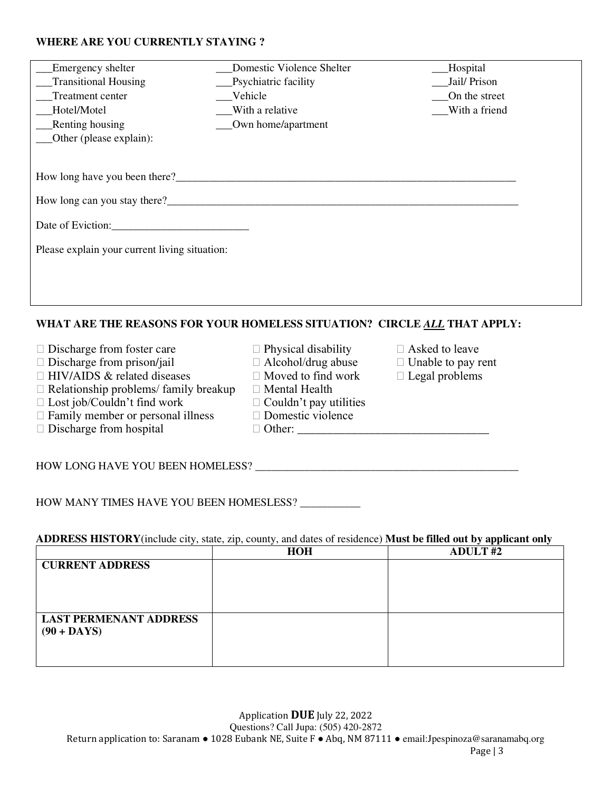### **WHERE ARE YOU CURRENTLY STAYING ?**

| Emergency shelter                                                        | Domestic Violence Shelter    | Hospital      |  |  |  |  |  |
|--------------------------------------------------------------------------|------------------------------|---------------|--|--|--|--|--|
| Transitional Housing                                                     | __Psychiatric facility       | Jail/Prison   |  |  |  |  |  |
| Treatment center                                                         | Vehicle                      | On the street |  |  |  |  |  |
| Hotel/Motel                                                              | $\mathbf{W}$ With a relative | With a friend |  |  |  |  |  |
| Renting housing                                                          | Own home/apartment           |               |  |  |  |  |  |
| Other (please explain):                                                  |                              |               |  |  |  |  |  |
|                                                                          |                              |               |  |  |  |  |  |
|                                                                          |                              |               |  |  |  |  |  |
|                                                                          |                              |               |  |  |  |  |  |
| Date of Eviction:                                                        |                              |               |  |  |  |  |  |
| Please explain your current living situation:                            |                              |               |  |  |  |  |  |
|                                                                          |                              |               |  |  |  |  |  |
|                                                                          |                              |               |  |  |  |  |  |
|                                                                          |                              |               |  |  |  |  |  |
| WHAT ARE THE REASONS FOR YOUR HOMELESS SITUATION? CIRCLE ALL THAT APPLY: |                              |               |  |  |  |  |  |

- $\Box$  Discharge from foster care  $\Box$  Physical disability  $\Box$  Asked to leave
- $\Box$  Discharge from prison/jail  $\Box$  Alcohol/drug abuse  $\Box$  Unable to pay rent
- $\Box$  HIV/AIDS & related diseases  $\Box$  Moved to find work  $\Box$  Legal problems
- $\Box$  Relationship problems/ family breakup  $\Box$  Mental Health  $\Box$  Lost job/Couldn't find work  $\Box$  Couldn't pay utilities
- $\Box$  Lost job/Couldn't find work  $\Box$  Couldn't pay utilities  $\Box$  Family member or personal illness  $\Box$  Domestic violence
- $\Box$  Family member or personal illness  $\Box$  Domestic violence  $\Box$  Discharge from hospital  $\Box$  Other:
- $\Box$  Discharge from hospital
- 
- 
- 
- 
- 
- 
- 
- 
- 
- 

HOW LONG HAVE YOU BEEN HOMELESS? \_\_\_\_\_\_\_\_\_\_\_\_\_\_\_\_\_\_\_\_\_\_\_\_\_\_\_\_\_\_\_\_\_\_\_\_\_\_\_\_\_\_\_\_\_\_\_\_

HOW MANY TIMES HAVE YOU BEEN HOMESLESS? \_\_\_\_\_\_\_\_\_\_

### **ADDRESS HISTORY**(include city, state, zip, county, and dates of residence) **Must be filled out by applicant only**

|                               | <b>HOH</b> | <b>ADULT#2</b> |
|-------------------------------|------------|----------------|
| <b>CURRENT ADDRESS</b>        |            |                |
|                               |            |                |
|                               |            |                |
|                               |            |                |
| <b>LAST PERMENANT ADDRESS</b> |            |                |
| $(90 + DAYS)$                 |            |                |
|                               |            |                |
|                               |            |                |
|                               |            |                |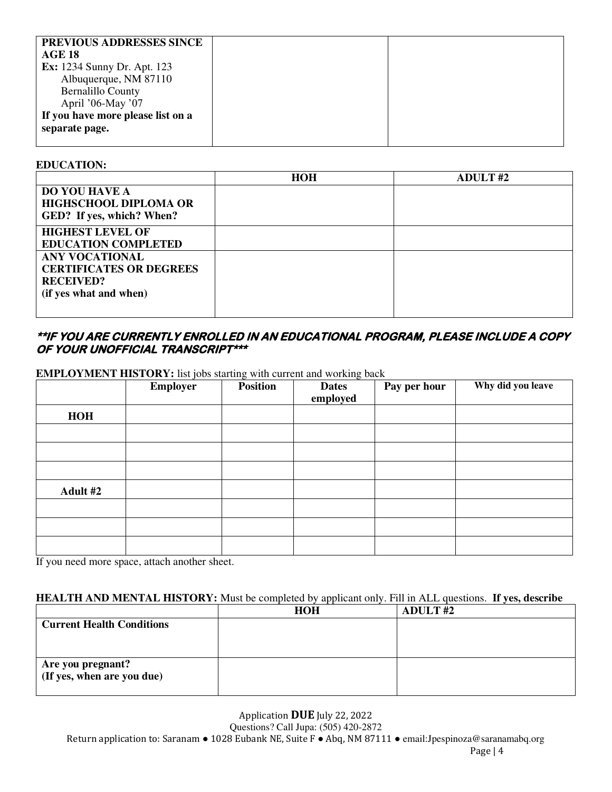| PREVIOUS ADDRESSES SINCE           |  |
|------------------------------------|--|
| <b>AGE 18</b>                      |  |
| <b>Ex:</b> 1234 Sunny Dr. Apt. 123 |  |
| Albuquerque, NM 87110              |  |
| <b>Bernalillo County</b>           |  |
| April '06-May '07                  |  |
| If you have more please list on a  |  |
| separate page.                     |  |
|                                    |  |

### **EDUCATION:**

|                                                                                                       | <b>HOH</b> | <b>ADULT#2</b> |
|-------------------------------------------------------------------------------------------------------|------------|----------------|
| <b>DO YOU HAVE A</b><br><b>HIGHSCHOOL DIPLOMA OR</b><br>GED? If yes, which? When?                     |            |                |
| <b>HIGHEST LEVEL OF</b><br><b>EDUCATION COMPLETED</b>                                                 |            |                |
| <b>ANY VOCATIONAL</b><br><b>CERTIFICATES OR DEGREES</b><br><b>RECEIVED?</b><br>(if yes what and when) |            |                |

### **\*\*IF YOU ARE CURRENTLY ENROLLED IN AN EDUCATIONAL PROGRAM, PLEASE INCLUDE A COPY OF YOUR UNOFFICIAL TRANSCRIPT\*\*\***

**EMPLOYMENT HISTORY:** list jobs starting with current and working back

|            | <b>Employer</b> | <b>Position</b> | <b>Dates</b><br>employed | Pay per hour | Why did you leave |
|------------|-----------------|-----------------|--------------------------|--------------|-------------------|
| <b>HOH</b> |                 |                 |                          |              |                   |
|            |                 |                 |                          |              |                   |
|            |                 |                 |                          |              |                   |
|            |                 |                 |                          |              |                   |
| Adult #2   |                 |                 |                          |              |                   |
|            |                 |                 |                          |              |                   |
|            |                 |                 |                          |              |                   |
|            |                 |                 |                          |              |                   |

If you need more space, attach another sheet.

### **HEALTH AND MENTAL HISTORY:** Must be completed by applicant only. Fill in ALL questions. **If yes, describe**

|                                  | <b>HOH</b> | <b>ADULT#2</b> |
|----------------------------------|------------|----------------|
| <b>Current Health Conditions</b> |            |                |
|                                  |            |                |
|                                  |            |                |
| Are you pregnant?                |            |                |
| (If yes, when are you due)       |            |                |
|                                  |            |                |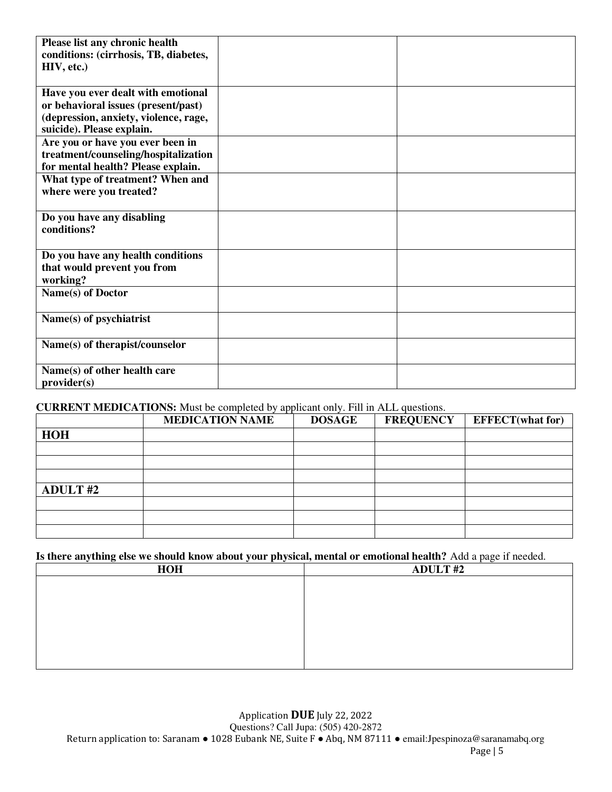| Please list any chronic health<br>conditions: (cirrhosis, TB, diabetes, |  |
|-------------------------------------------------------------------------|--|
| HIV, etc.)                                                              |  |
|                                                                         |  |
| Have you ever dealt with emotional                                      |  |
| or behavioral issues (present/past)                                     |  |
| (depression, anxiety, violence, rage,                                   |  |
| suicide). Please explain.                                               |  |
| Are you or have you ever been in                                        |  |
| treatment/counseling/hospitalization                                    |  |
| for mental health? Please explain.                                      |  |
| What type of treatment? When and                                        |  |
| where were you treated?                                                 |  |
|                                                                         |  |
| Do you have any disabling                                               |  |
| conditions?                                                             |  |
|                                                                         |  |
| Do you have any health conditions<br>that would prevent you from        |  |
| working?                                                                |  |
| Name(s) of Doctor                                                       |  |
|                                                                         |  |
| Name(s) of psychiatrist                                                 |  |
|                                                                         |  |
| Name(s) of therapist/counselor                                          |  |
|                                                                         |  |
| Name(s) of other health care                                            |  |
| provider(s)                                                             |  |

### **CURRENT MEDICATIONS:** Must be completed by applicant only. Fill in ALL questions.

|                 | <b>MEDICATION NAME</b> | <b>DOSAGE</b> | <b>FREQUENCY</b> | <b>EFFECT</b> (what for) |
|-----------------|------------------------|---------------|------------------|--------------------------|
| <b>HOH</b>      |                        |               |                  |                          |
|                 |                        |               |                  |                          |
|                 |                        |               |                  |                          |
|                 |                        |               |                  |                          |
| <b>ADULT #2</b> |                        |               |                  |                          |
|                 |                        |               |                  |                          |
|                 |                        |               |                  |                          |
|                 |                        |               |                  |                          |

### **Is there anything else we should know about your physical, mental or emotional health?** Add a page if needed.

| <b>HOH</b> | <b>ADULT#2</b> |
|------------|----------------|
|            |                |
|            |                |
|            |                |
|            |                |
|            |                |
|            |                |
|            |                |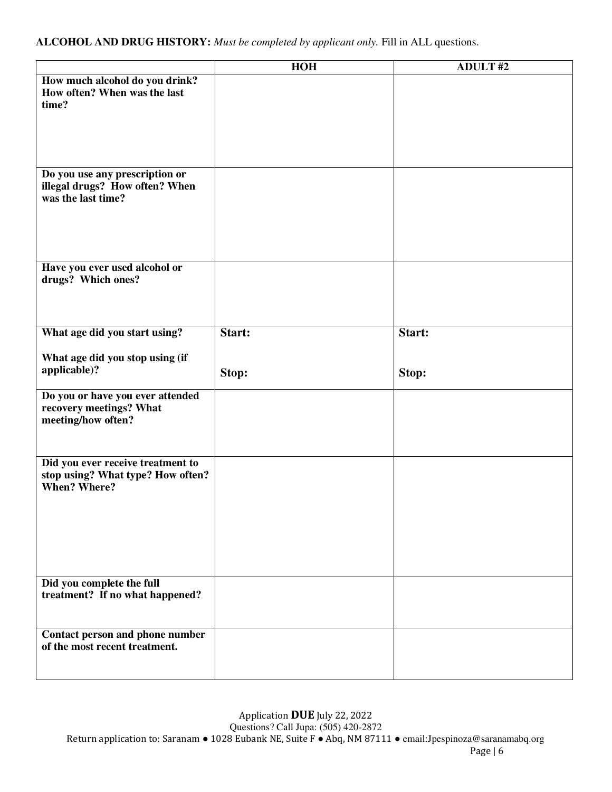|                                                                                               | <b>HOH</b> | <b>ADULT#2</b> |
|-----------------------------------------------------------------------------------------------|------------|----------------|
| How much alcohol do you drink?<br>How often? When was the last<br>time?                       |            |                |
| Do you use any prescription or<br>illegal drugs? How often? When<br>was the last time?        |            |                |
| Have you ever used alcohol or<br>drugs? Which ones?                                           |            |                |
| What age did you start using?                                                                 | Start:     | Start:         |
| What age did you stop using (if<br>applicable)?                                               | Stop:      | Stop:          |
| Do you or have you ever attended<br>recovery meetings? What<br>meeting/how often?             |            |                |
| Did you ever receive treatment to<br>stop using? What type? How often?<br><b>When? Where?</b> |            |                |
| Did you complete the full<br>treatment? If no what happened?                                  |            |                |
| Contact person and phone number<br>of the most recent treatment.                              |            |                |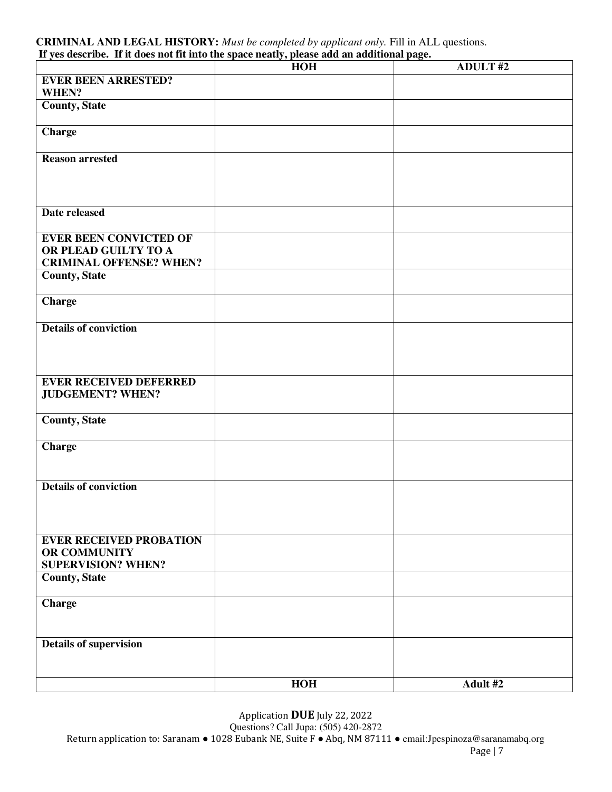#### **CRIMINAL AND LEGAL HISTORY:** *Must be completed by applicant only.* Fill in ALL questions. **If yes describe. If it does not fit into the space neatly, please add an additional page.**

|                                                        | If yes describe. If it does not in mot the space heatry, prease and an additional page.<br><b>HOH</b> | <b>ADULT#2</b> |
|--------------------------------------------------------|-------------------------------------------------------------------------------------------------------|----------------|
| <b>EVER BEEN ARRESTED?</b>                             |                                                                                                       |                |
| WHEN?                                                  |                                                                                                       |                |
| <b>County, State</b>                                   |                                                                                                       |                |
| <b>Charge</b>                                          |                                                                                                       |                |
| <b>Reason</b> arrested                                 |                                                                                                       |                |
|                                                        |                                                                                                       |                |
| Date released                                          |                                                                                                       |                |
|                                                        |                                                                                                       |                |
| <b>EVER BEEN CONVICTED OF</b>                          |                                                                                                       |                |
| OR PLEAD GUILTY TO A<br><b>CRIMINAL OFFENSE? WHEN?</b> |                                                                                                       |                |
| <b>County, State</b>                                   |                                                                                                       |                |
| <b>Charge</b>                                          |                                                                                                       |                |
| <b>Details of conviction</b>                           |                                                                                                       |                |
|                                                        |                                                                                                       |                |
|                                                        |                                                                                                       |                |
| <b>EVER RECEIVED DEFERRED</b>                          |                                                                                                       |                |
| <b>JUDGEMENT? WHEN?</b>                                |                                                                                                       |                |
| County, State                                          |                                                                                                       |                |
| <b>Charge</b>                                          |                                                                                                       |                |
|                                                        |                                                                                                       |                |
| <b>Details of conviction</b>                           |                                                                                                       |                |
|                                                        |                                                                                                       |                |
|                                                        |                                                                                                       |                |
| <b>EVER RECEIVED PROBATION</b><br>OR COMMUNITY         |                                                                                                       |                |
| <b>SUPERVISION? WHEN?</b>                              |                                                                                                       |                |
| <b>County, State</b>                                   |                                                                                                       |                |
| <b>Charge</b>                                          |                                                                                                       |                |
|                                                        |                                                                                                       |                |
| <b>Details of supervision</b>                          |                                                                                                       |                |
|                                                        |                                                                                                       |                |
|                                                        | <b>HOH</b>                                                                                            | Adult #2       |

Application **DUE** July 22, 2022

Questions? Call Jupa: (505) 420-2872

Return application to: Saranam • 1028 Eubank NE, Suite F • Abq, NM 87111 • email: Jpespinoza@saranamabq.org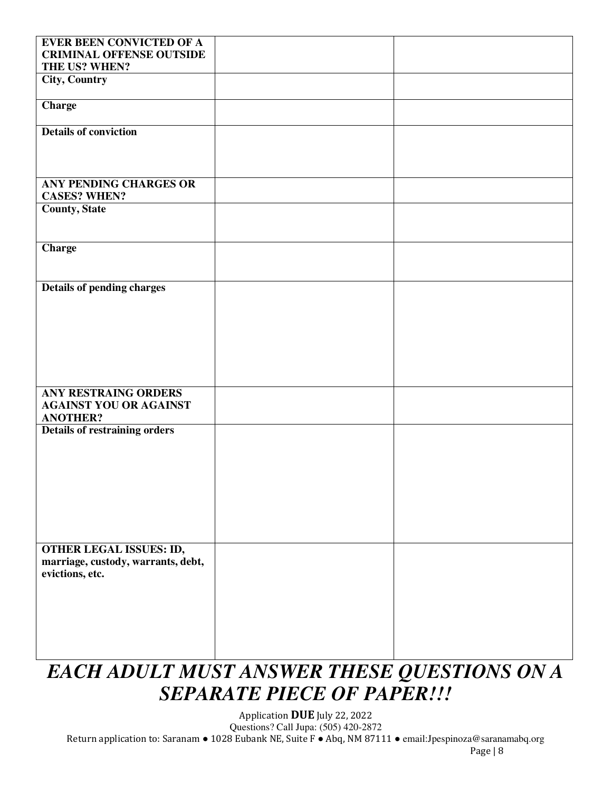| <b>EVER BEEN CONVICTED OF A</b>      |  |
|--------------------------------------|--|
| <b>CRIMINAL OFFENSE OUTSIDE</b>      |  |
| THE US? WHEN?                        |  |
| <b>City, Country</b>                 |  |
|                                      |  |
|                                      |  |
| <b>Charge</b>                        |  |
|                                      |  |
| <b>Details of conviction</b>         |  |
|                                      |  |
|                                      |  |
|                                      |  |
|                                      |  |
| ANY PENDING CHARGES OR               |  |
| <b>CASES? WHEN?</b>                  |  |
| <b>County, State</b>                 |  |
|                                      |  |
|                                      |  |
|                                      |  |
| <b>Charge</b>                        |  |
|                                      |  |
|                                      |  |
|                                      |  |
| <b>Details of pending charges</b>    |  |
|                                      |  |
|                                      |  |
|                                      |  |
|                                      |  |
|                                      |  |
|                                      |  |
|                                      |  |
|                                      |  |
| <b>ANY RESTRAING ORDERS</b>          |  |
| <b>AGAINST YOU OR AGAINST</b>        |  |
|                                      |  |
| <b>ANOTHER?</b>                      |  |
| <b>Details of restraining orders</b> |  |
|                                      |  |
|                                      |  |
|                                      |  |
|                                      |  |
|                                      |  |
|                                      |  |
|                                      |  |
|                                      |  |
|                                      |  |
|                                      |  |
| <b>OTHER LEGAL ISSUES: ID,</b>       |  |
| marriage, custody, warrants, debt,   |  |
| evictions, etc.                      |  |
|                                      |  |
|                                      |  |
|                                      |  |
|                                      |  |
|                                      |  |
|                                      |  |
|                                      |  |

### *EACH ADULT MUST ANSWER THESE QUESTIONS ON A SEPARATE PIECE OF PAPER!!!*

Application **DUE** July 22, 2022 Questions? Call Jupa: (505) 420-2872 Return application to: Saranam ● 1028 Eubank NE, Suite F ● Abq, NM 87111 ● email:Jpespinoza@saranamabq.org Page | 8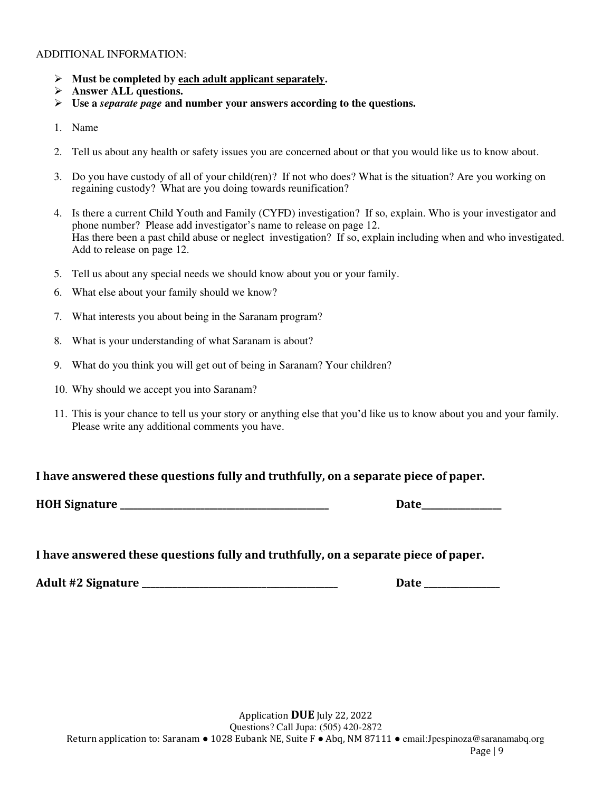#### ADDITIONAL INFORMATION:

- ➢ **Must be completed by each adult applicant separately.**
- ➢ **Answer ALL questions.**
- ➢ **Use a** *separate page* **and number your answers according to the questions.**
- 1. Name
- 2. Tell us about any health or safety issues you are concerned about or that you would like us to know about.
- 3. Do you have custody of all of your child(ren)? If not who does? What is the situation? Are you working on regaining custody? What are you doing towards reunification?
- 4. Is there a current Child Youth and Family (CYFD) investigation? If so, explain. Who is your investigator and phone number? Please add investigator's name to release on page 12. Has there been a past child abuse or neglect investigation? If so, explain including when and who investigated. Add to release on page 12.
- 5. Tell us about any special needs we should know about you or your family.
- 6. What else about your family should we know?
- 7. What interests you about being in the Saranam program?
- 8. What is your understanding of what Saranam is about?
- 9. What do you think you will get out of being in Saranam? Your children?
- 10. Why should we accept you into Saranam?
- 11. This is your chance to tell us your story or anything else that you'd like us to know about you and your family. Please write any additional comments you have.

### **I have answered these questions fully and truthfully, on a separate piece of paper.**

**HOH Signature \_\_\_\_\_\_\_\_\_\_\_\_\_\_\_\_\_\_\_\_\_\_\_\_\_\_\_\_\_\_\_\_\_\_\_\_\_\_\_\_\_\_\_\_\_\_\_ Date\_\_\_\_\_\_\_\_\_\_\_\_\_\_\_\_\_\_** 

**I have answered these questions fully and truthfully, on a separate piece of paper.** 

**Adult #2 Signature \_\_\_\_\_\_\_\_\_\_\_\_\_\_\_\_\_\_\_\_\_\_\_\_\_\_\_\_\_\_\_\_\_\_\_\_\_\_\_\_\_\_\_\_ Date \_\_\_\_\_\_\_\_\_\_\_\_\_\_\_\_\_**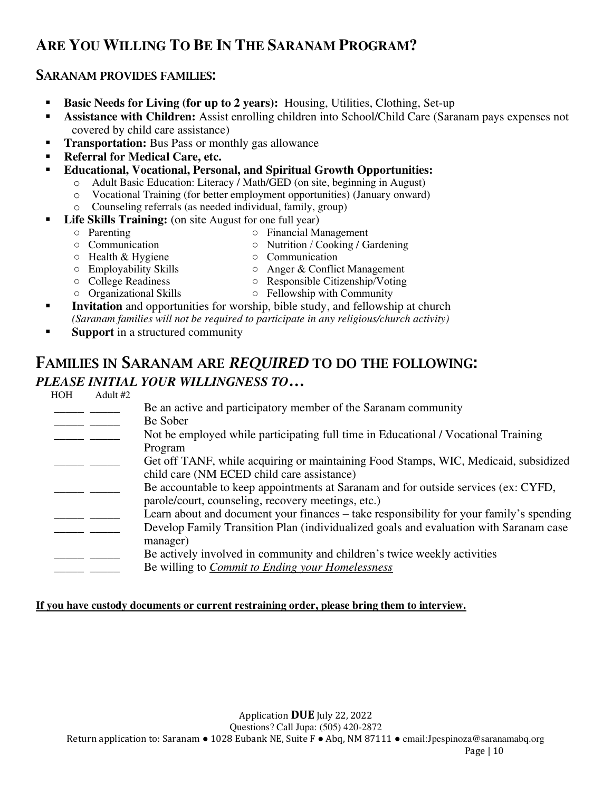### **ARE YOU WILLING TO BE IN THE SARANAM PROGRAM?**

### SARANAM PROVIDES FAMILIES:

- **Basic Needs for Living (for up to 2 years):** Housing, Utilities, Clothing, Set-up
- Assistance with Children: Assist enrolling children into School/Child Care (Saranam pays expenses not covered by child care assistance)
- **Transportation:** Bus Pass or monthly gas allowance
- **Referral for Medical Care, etc.**
- **Educational, Vocational, Personal, and Spiritual Growth Opportunities:** 
	- o Adult Basic Education: Literacy / Math/GED (on site, beginning in August)
	- o Vocational Training (for better employment opportunities) (January onward)
	- o Counseling referrals (as needed individual, family, group)
- **Life Skills Training:** (on site August for one full year)
	-
	- Parenting Financial Management<br>○ Communication Nutrition / Cooking / G ○ Nutrition / Cooking / Gardening
	-
	- Health & Hygiene Communication
	- Employability Skills △ Anger & Conflict Management
	- College Readiness △ Responsible Citizenship/Voting
		-
	- Organizational Skills Fellowship with Community
- **EXECUTE:** Invitation and opportunities for worship, bible study, and fellowship at church *(Saranam families will not be required to participate in any religious/church activity)*
- **Support** in a structured community

### FAMILIES IN SARANAM ARE *REQUIRED* TO DO THE FOLLOWING: *PLEASE INITIAL YOUR WILLINGNESS TO…*

 $\text{Adult } #2$ 

Be an active and participatory member of the Saranam community

 $\frac{1}{\sqrt{1-\frac{1}{2}}}\frac{1}{\sqrt{1-\frac{1}{2}}}\frac{1}{\sqrt{1-\frac{1}{2}}}\frac{1}{\sqrt{1-\frac{1}{2}}}\frac{1}{\sqrt{1-\frac{1}{2}}}\frac{1}{\sqrt{1-\frac{1}{2}}}\frac{1}{\sqrt{1-\frac{1}{2}}}\frac{1}{\sqrt{1-\frac{1}{2}}}\frac{1}{\sqrt{1-\frac{1}{2}}}\frac{1}{\sqrt{1-\frac{1}{2}}}\frac{1}{\sqrt{1-\frac{1}{2}}}\frac{1}{\sqrt{1-\frac{1}{2}}}\frac{1}{\sqrt{1-\frac{1}{2}}}\frac{1}{\sqrt{1-\frac{$ 

- \_\_\_\_ \_\_\_\_\_ Not be employed while participating full time in Educational / Vocational Training Program
- <sup>1</sup> Get off TANF, while acquiring or maintaining Food Stamps, WIC, Medicaid, subsidized child care (NM ECED child care assistance)
- **EXECOUNTER ARRANGER ASSESSED ASSESSED ASSESSED**, Be accountable to keep appointments at Saranam and for outside services (ex: CYFD, parole/court, counseling, recovery meetings, etc.)
- Learn about and document your finances take responsibility for your family's spending
- **EXECUTE:** Develop Family Transition Plan (individualized goals and evaluation with Saranam case manager)
- <u>\_\_\_\_\_\_\_\_</u> Be actively involved in community and children's twice weekly activities
- \_\_\_\_\_ \_\_\_\_\_ Be willing to *Commit to Ending your Homelessness*

### **If you have custody documents or current restraining order, please bring them to interview.**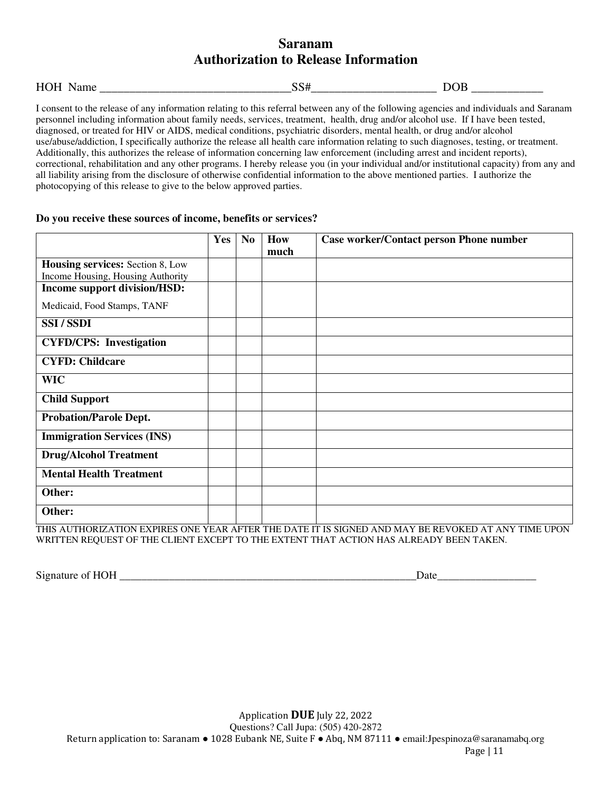### **Saranam Authorization to Release Information**

| HO<br>~~ | __<br>_ |
|----------|---------|
|----------|---------|

I consent to the release of any information relating to this referral between any of the following agencies and individuals and Saranam personnel including information about family needs, services, treatment, health, drug and/or alcohol use. If I have been tested, diagnosed, or treated for HIV or AIDS, medical conditions, psychiatric disorders, mental health, or drug and/or alcohol use/abuse/addiction, I specifically authorize the release all health care information relating to such diagnoses, testing, or treatment. Additionally, this authorizes the release of information concerning law enforcement (including arrest and incident reports), correctional, rehabilitation and any other programs. I hereby release you (in your individual and/or institutional capacity) from any and all liability arising from the disclosure of otherwise confidential information to the above mentioned parties. I authorize the photocopying of this release to give to the below approved parties.

#### **Do you receive these sources of income, benefits or services?**

|                                         | Yes | N <sub>o</sub> | How  | <b>Case worker/Contact person Phone number</b>                                                                         |
|-----------------------------------------|-----|----------------|------|------------------------------------------------------------------------------------------------------------------------|
|                                         |     |                | much |                                                                                                                        |
| <b>Housing services: Section 8, Low</b> |     |                |      |                                                                                                                        |
| Income Housing, Housing Authority       |     |                |      |                                                                                                                        |
| Income support division/HSD:            |     |                |      |                                                                                                                        |
| Medicaid, Food Stamps, TANF             |     |                |      |                                                                                                                        |
| <b>SSI/SSDI</b>                         |     |                |      |                                                                                                                        |
| <b>CYFD/CPS:</b> Investigation          |     |                |      |                                                                                                                        |
| <b>CYFD: Childcare</b>                  |     |                |      |                                                                                                                        |
| <b>WIC</b>                              |     |                |      |                                                                                                                        |
| <b>Child Support</b>                    |     |                |      |                                                                                                                        |
| <b>Probation/Parole Dept.</b>           |     |                |      |                                                                                                                        |
| <b>Immigration Services (INS)</b>       |     |                |      |                                                                                                                        |
| <b>Drug/Alcohol Treatment</b>           |     |                |      |                                                                                                                        |
| <b>Mental Health Treatment</b>          |     |                |      |                                                                                                                        |
| Other:                                  |     |                |      |                                                                                                                        |
| Other:                                  |     |                |      | THE UTTION OF LEGAL PURPER OUT UP LEADER THE NUTTER OCALITY LIKE LIKE LAUGHTER COMPANY AND RELEASED OF LANGUARD COURSE |

THIS AUTHORIZATION EXPIRES ONE YEAR AFTER THE DATE IT IS SIGNED AND MAY BE REVOKED AT ANY TIME UPON WRITTEN REQUEST OF THE CLIENT EXCEPT TO THE EXTENT THAT ACTION HAS ALREADY BEEN TAKEN.

Signature of HOH \_\_\_\_\_\_\_\_\_\_\_\_\_\_\_\_\_\_\_\_\_\_\_\_\_\_\_\_\_\_\_\_\_\_\_\_\_\_\_\_\_\_\_\_\_\_\_\_\_\_\_\_\_\_Date\_\_\_\_\_\_\_\_\_\_\_\_\_\_\_\_\_\_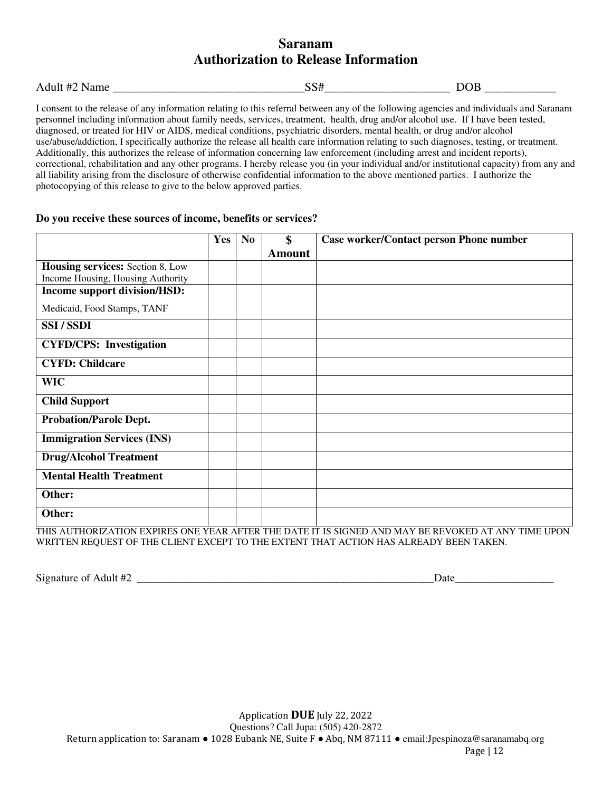### **Saranam Authorization to Release Information**

| $\overline{\phantom{a}}$<br>л.<br>Adul<br>. .<br>'Name<br>11 <del>∠</del> | ຼ | -<br>-- |
|---------------------------------------------------------------------------|---|---------|
|                                                                           |   |         |

I consent to the release of any information relating to this referral between any of the following agencies and individuals and Saranam personnel including information about family needs, services, treatment, health, drug and/or alcohol use. If I have been tested, diagnosed, or treated for HIV or AIDS, medical conditions, psychiatric disorders, mental health, or drug and/or alcohol use/abuse/addiction, I specifically authorize the release all health care information relating to such diagnoses, testing, or treatment. Additionally, this authorizes the release of information concerning law enforcement (including arrest and incident reports), correctional, rehabilitation and any other programs. I hereby release you (in your individual and/or institutional capacity) from any and all liability arising from the disclosure of otherwise confidential information to the above mentioned parties. I authorize the photocopying of this release to give to the below approved parties.

#### **Do you receive these sources of income, benefits or services?**

|                                         | Yes | N <sub>0</sub> | \$            | <b>Case worker/Contact person Phone number</b>                                                         |
|-----------------------------------------|-----|----------------|---------------|--------------------------------------------------------------------------------------------------------|
|                                         |     |                | <b>Amount</b> |                                                                                                        |
| <b>Housing services: Section 8, Low</b> |     |                |               |                                                                                                        |
| Income Housing, Housing Authority       |     |                |               |                                                                                                        |
| Income support division/HSD:            |     |                |               |                                                                                                        |
| Medicaid, Food Stamps, TANF             |     |                |               |                                                                                                        |
| SSI/SSDI                                |     |                |               |                                                                                                        |
| <b>CYFD/CPS:</b> Investigation          |     |                |               |                                                                                                        |
| <b>CYFD: Childcare</b>                  |     |                |               |                                                                                                        |
| <b>WIC</b>                              |     |                |               |                                                                                                        |
| <b>Child Support</b>                    |     |                |               |                                                                                                        |
| <b>Probation/Parole Dept.</b>           |     |                |               |                                                                                                        |
| <b>Immigration Services (INS)</b>       |     |                |               |                                                                                                        |
| <b>Drug/Alcohol Treatment</b>           |     |                |               |                                                                                                        |
| <b>Mental Health Treatment</b>          |     |                |               |                                                                                                        |
| Other:                                  |     |                |               |                                                                                                        |
| Other:                                  |     |                |               |                                                                                                        |
|                                         |     |                |               | THIC A LITHODIZATION EVDIDEC ONE VEAD AFTED THE DATE IT IC CIONED AND MAV DE DEVOVED AT ANV TIME LIDON |

THIS AUTHORIZATION EXPIRES ONE YEAR AFTER THE DATE IT IS SIGNED AND MAY BE REVOKED AT ANY TIME UPON WRITTEN REQUEST OF THE CLIENT EXCEPT TO THE EXTENT THAT ACTION HAS ALREADY BEEN TAKEN.

Signature of Adult #2 \_\_\_\_\_\_\_\_\_\_\_\_\_\_\_\_\_\_\_\_\_\_\_\_\_\_\_\_\_\_\_\_\_\_\_\_\_\_\_\_\_\_\_\_\_\_\_\_\_\_\_\_\_\_Date\_\_\_\_\_\_\_\_\_\_\_\_\_\_\_\_\_\_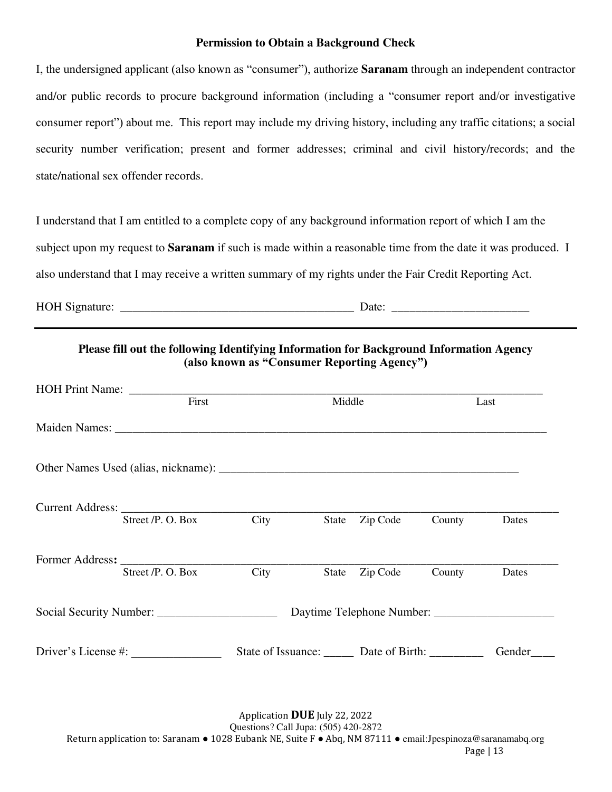### **Permission to Obtain a Background Check**

I, the undersigned applicant (also known as "consumer"), authorize **Saranam** through an independent contractor and/or public records to procure background information (including a "consumer report and/or investigative consumer report") about me. This report may include my driving history, including any traffic citations; a social security number verification; present and former addresses; criminal and civil history/records; and the state/national sex offender records.

I understand that I am entitled to a complete copy of any background information report of which I am the subject upon my request to **Saranam** if such is made within a reasonable time from the date it was produced. I also understand that I may receive a written summary of my rights under the Fair Credit Reporting Act.

HOH Signature: \_\_\_\_\_\_\_\_\_\_\_\_\_\_\_\_\_\_\_\_\_\_\_\_\_\_\_\_\_\_\_\_\_\_\_\_\_\_\_ Date: \_\_\_\_\_\_\_\_\_\_\_\_\_\_\_\_\_\_\_\_\_\_\_

| HOH Print Name: First |      | Middle |                |                                             | Last   |
|-----------------------|------|--------|----------------|---------------------------------------------|--------|
|                       |      |        |                |                                             |        |
|                       |      |        |                |                                             |        |
|                       |      |        |                |                                             |        |
| Street /P. O. Box     | City |        | State Zip Code | County                                      | Dates  |
|                       |      |        |                |                                             |        |
| Street /P. O. Box     | City |        | State Zip Code | County                                      | Dates  |
|                       |      |        |                |                                             |        |
| Driver's License #:   |      |        |                | State of Issuance: Date of Birth: _________ | Gender |

Application **DUE** July 22, 2022 Questions? Call Jupa: (505) 420-2872 Return application to: Saranam ● 1028 Eubank NE, Suite F ● Abq, NM 87111 ● email:Jpespinoza@saranamabq.org Page | 13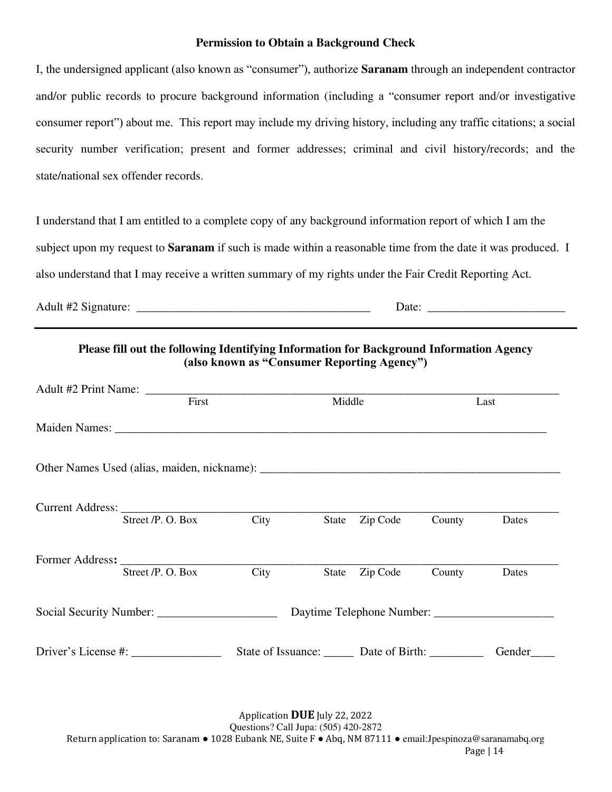### **Permission to Obtain a Background Check**

I, the undersigned applicant (also known as "consumer"), authorize **Saranam** through an independent contractor and/or public records to procure background information (including a "consumer report and/or investigative consumer report") about me. This report may include my driving history, including any traffic citations; a social security number verification; present and former addresses; criminal and civil history/records; and the state/national sex offender records.

I understand that I am entitled to a complete copy of any background information report of which I am the subject upon my request to **Saranam** if such is made within a reasonable time from the date it was produced. I also understand that I may receive a written summary of my rights under the Fair Credit Reporting Act.

Adult #2 Signature: \_\_\_\_\_\_\_\_\_\_\_\_\_\_\_\_\_\_\_\_\_\_\_\_\_\_\_\_\_\_\_\_\_\_\_\_\_\_\_ Date: \_\_\_\_\_\_\_\_\_\_\_\_\_\_\_\_\_\_\_\_\_\_\_

### **Please fill out the following Identifying Information for Background Information Agency (also known as "Consumer Reporting Agency")**

| First |                                   |      | Middle |                                          |        | Last   |  |
|-------|-----------------------------------|------|--------|------------------------------------------|--------|--------|--|
|       |                                   |      |        |                                          |        |        |  |
|       |                                   |      |        |                                          |        |        |  |
|       | Street /P. O. Box                 | City | State  | Zip Code                                 | County | Dates  |  |
|       |                                   |      |        |                                          |        |        |  |
|       | Street /P. O. Box                 | City | State  | Zip Code                                 | County | Dates  |  |
|       |                                   |      |        |                                          |        |        |  |
|       | Driver's License #: $\frac{1}{2}$ |      |        | State of Issuance: <u>Date of Birth:</u> |        | Gender |  |

Application **DUE** July 22, 2022 Questions? Call Jupa: (505) 420-2872 Return application to: Saranam • 1028 Eubank NE, Suite F • Abq, NM 87111 • email: Jpespinoza@saranamabq.org Page | 14